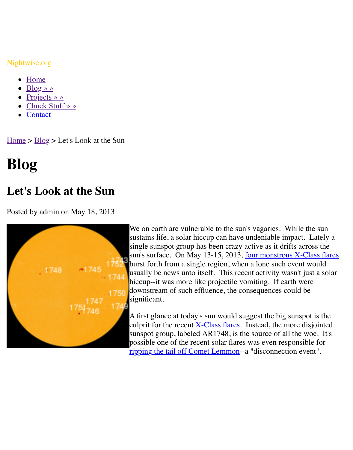<u>Nightwise.org</u>

- **Home**
- $Blog \n\gg$
- Projects » »
- Chuck Stuff » »
- **Contact**

 $Home > Blog > Let's Look at the Sun$  $Home > Blog > Let's Look at the Sun$  $Home > Blog > Let's Look at the Sun$ 

## **Bl[og](http://www.nightwise.org/chuck-stuff/)**

## **[Let](http://www.nightwise.org/)'s [Loo](http://www.nightwise.org/blog/)k at the Sun**

Posted by admin on May 18, 2013



We on earth are vulnerable to the sun's vagaries. While sustains life, a solar hiccup can have undeniable impactle single sunspot group has been crazy active as it drifts and sun's surface. On May 13-15, 2013, <u>four monstrous X</u> burst forth from a single region, when a lone such even usually be news unto itself. This recent activity wasn't hiccup--it was more like projectile vomiting. If earth w downstream of such effluence, the consequences could significant.

A first glance at today's sun would suggest the big suns culprit for the recent  $X$ -Class flares. Instead, the more sunspot group, labeled  $AR1748$ , is the source of all the possible one of the recent solar flares was even respon ripping the tail off Comet Lemmon--a "disconnection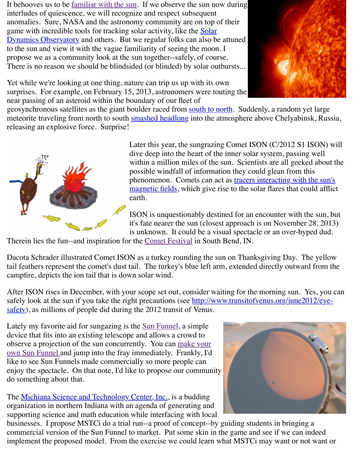propose we as a community look at the sun together--safely, of course. There is no reason [we should be blindside](http://spaceweather.com/)d (or blinded) by solar outbursts...

Yet while we're looking at one thing, nature can trip us up with its own [surprises. For example, on February 15, 2013, astronomers were to](http://www.nasa.gov/mission_pages/sdo/main/index.html)uting the near passing of an asteroid within the boundary of our fleet of

geosynchronous satellites as the giant boulder raced from south to north. Suddenly, a random meteorite traveling from north to south smashed headlong into the atmosphere above Chelyab releasing an explosive force. Surprise!



Later this year, the sungrazing Comet ISON  $(C/2012S)$ dive deep into the heart of the inner solar system, pass within a million miles of the sun. Scientists are all geopossible windfall [of information t](http://www.universetoday.com/100003/russian-meteor-not-related-to-asteroid-flyby-nasa-confirms/)hey could glean from [phenomenon. Com](http://www.forbes.com/sites/alexknapp/2013/02/15/meteor-strikes-russia-while-asteroid-misses-earth/)ets can act as tracers interacting with magnetic fields, which give rise to the solar flares that earth.

ISON is unquestionably destined for an encounter with the sun, but supply the sun, but sun, but sun, but surely surely surely surely surely surely surely surely surely surely surely surely surely surely surely surely surel it's fate nearer the sun (closest approach is on Novemb is unknown. It could be a visual spectacle or an over-

Therein lies the fun--and inspiration fo[r the Comet Festival in South Bend, IN.](http://cometfestival.com/index.php/comets/learning-sungra/) 

Dacota Schrader illustrated Comet ISON as a turkey rounding the sun on Thanksgiving Day. tail feathers represent the comet's dust tail. The turkey's blue left arm, extended directly outw campfire, depicts the ion tail that is down solar wind.

After ISON rises in December, with your scope set out, consider waiting for the morning sun. safely look at the sun if you take the right p[recautions \(see h](http://www.cometfestival.com/)ttp://www.transitofvenus.org/june safety), as millions of people did during the 2012 transit of Venus.

Lately my favorite aid for sungazing is the <u>Sun Funnel</u>, a simple device that fits into an existing telescope and allows a crowd to observe a projection of the sun concurrently. You can make your own Sun Funnel and jump into the fray immediately. Frankly, I'd like to see Sun Funnels made commercially so more people can [enjoy the spectacle. On that note, I'd like to propose our community](http://www.transitofvenus.org/june2012/eye-safety) do something about that.

The Michiana Science and Technology Center, Inc., is a budding [organization in northern Indiana with an agenda of generating and](http://www.nightwise.org/files/9013/7050/0065/Build_a_Sun_Funnel_v2.0.pdf) supporting science and math education while interfacing with local

businesses. I propose MSTCi do a trial run--a proof of concept--by guiding students in bring commercial version of the Sun Funnel to market. Put some skin in the game and see if we can implement the proposed model. From the exercise we could learn what MSTC may want or